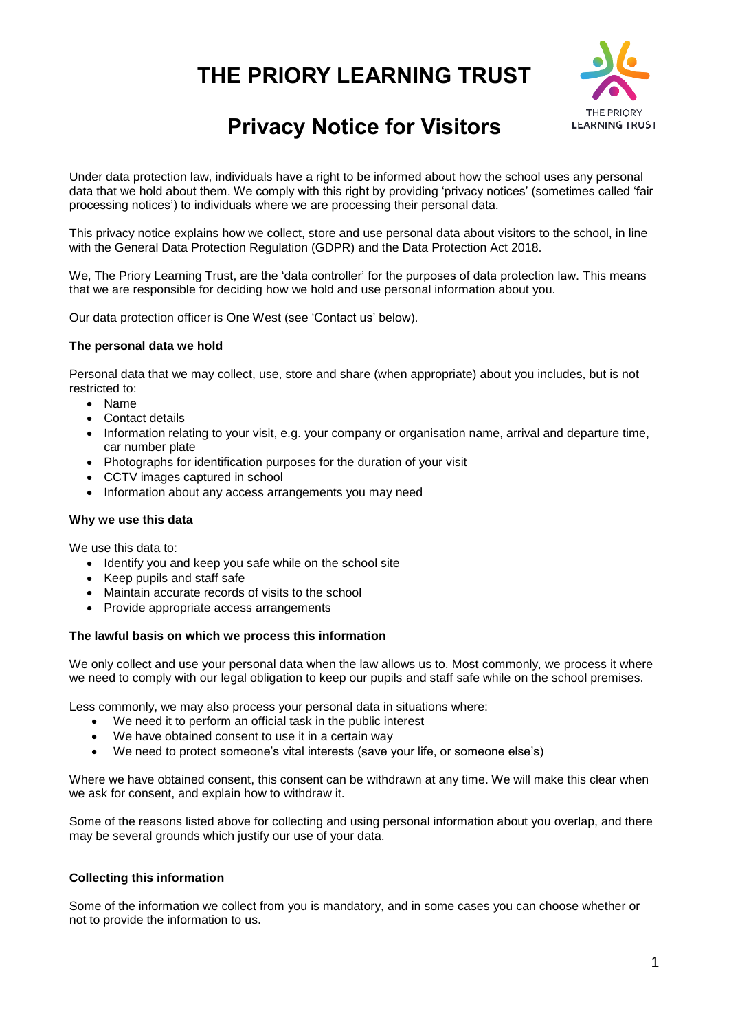# **THE PRIORY LEARNING TRUST**



## **Privacy Notice for Visitors**

Under data protection law, individuals have a right to be informed about how the school uses any personal data that we hold about them. We comply with this right by providing 'privacy notices' (sometimes called 'fair processing notices') to individuals where we are processing their personal data.

This privacy notice explains how we collect, store and use personal data about visitors to the school, in line with the General Data Protection Regulation (GDPR) and the Data Protection Act 2018.

We, The Priory Learning Trust, are the 'data controller' for the purposes of data protection law. This means that we are responsible for deciding how we hold and use personal information about you.

Our data protection officer is One West (see 'Contact us' below).

#### **The personal data we hold**

Personal data that we may collect, use, store and share (when appropriate) about you includes, but is not restricted to:

- Name
- Contact details
- Information relating to your visit, e.g. your company or organisation name, arrival and departure time, car number plate
- Photographs for identification purposes for the duration of your visit
- CCTV images captured in school
- Information about any access arrangements you may need

#### **Why we use this data**

We use this data to:

- Identify you and keep you safe while on the school site
- Keep pupils and staff safe
- Maintain accurate records of visits to the school
- Provide appropriate access arrangements

#### **The lawful basis on which we process this information**

We only collect and use your personal data when the law allows us to. Most commonly, we process it where we need to comply with our legal obligation to keep our pupils and staff safe while on the school premises.

Less commonly, we may also process your personal data in situations where:

- We need it to perform an official task in the public interest
- We have obtained consent to use it in a certain way
- We need to protect someone's vital interests (save your life, or someone else's)

Where we have obtained consent, this consent can be withdrawn at any time. We will make this clear when we ask for consent, and explain how to withdraw it.

Some of the reasons listed above for collecting and using personal information about you overlap, and there may be several grounds which justify our use of your data.

#### **Collecting this information**

Some of the information we collect from you is mandatory, and in some cases you can choose whether or not to provide the information to us.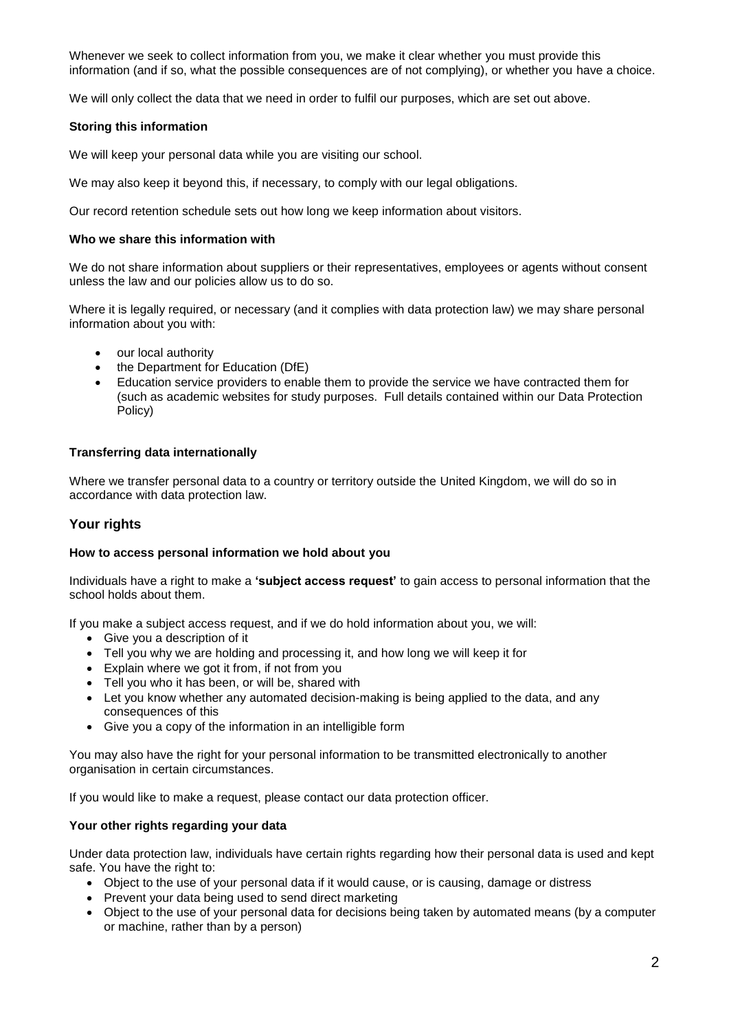Whenever we seek to collect information from you, we make it clear whether you must provide this information (and if so, what the possible consequences are of not complying), or whether you have a choice.

We will only collect the data that we need in order to fulfil our purposes, which are set out above.

#### **Storing this information**

We will keep your personal data while you are visiting our school.

We may also keep it beyond this, if necessary, to comply with our legal obligations.

Our record retention schedule sets out how long we keep information about visitors.

#### **Who we share this information with**

We do not share information about suppliers or their representatives, employees or agents without consent unless the law and our policies allow us to do so.

Where it is legally required, or necessary (and it complies with data protection law) we may share personal information about you with:

- our local authority
- the Department for Education (DfE)
- Education service providers to enable them to provide the service we have contracted them for (such as academic websites for study purposes. Full details contained within our Data Protection Policy)

#### **Transferring data internationally**

Where we transfer personal data to a country or territory outside the United Kingdom, we will do so in accordance with data protection law.

## **Your rights**

#### **How to access personal information we hold about you**

Individuals have a right to make a **'subject access request'** to gain access to personal information that the school holds about them.

If you make a subject access request, and if we do hold information about you, we will:

- Give you a description of it
- Tell you why we are holding and processing it, and how long we will keep it for
- Explain where we got it from, if not from you
- Tell you who it has been, or will be, shared with
- Let you know whether any automated decision-making is being applied to the data, and any consequences of this
- Give you a copy of the information in an intelligible form

You may also have the right for your personal information to be transmitted electronically to another organisation in certain circumstances.

If you would like to make a request, please contact our data protection officer.

#### **Your other rights regarding your data**

Under data protection law, individuals have certain rights regarding how their personal data is used and kept safe. You have the right to:

- Object to the use of your personal data if it would cause, or is causing, damage or distress
- Prevent your data being used to send direct marketing
- Object to the use of your personal data for decisions being taken by automated means (by a computer or machine, rather than by a person)